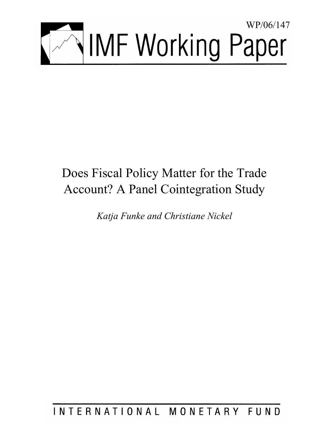

# Does Fiscal Policy Matter for the Trade Account? A Panel Cointegration Study

*Katja Funke and Christiane Nickel* 

INTERNATIONAL MONETARY FUND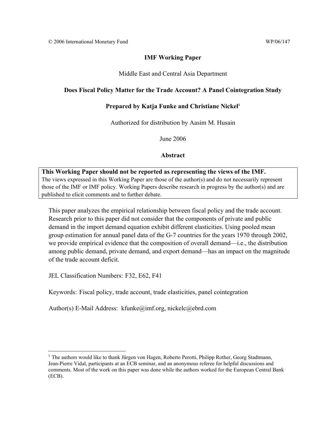## **IMF Working Paper**

## Middle East and Central Asia Department

## **Does Fiscal Policy Matter for the Trade Account? A Panel Cointegration Study**

## **Prepared by Katja Funke and Christiane Nickel1**

Authorized for distribution by Aasim M. Husain

June 2006

## **Abstract**

**This Working Paper should not be reported as representing the views of the IMF.** The views expressed in this Working Paper are those of the author(s) and do not necessarily represent those of the IMF or IMF policy. Working Papers describe research in progress by the author(s) and are published to elicit comments and to further debate.

This paper analyzes the empirical relationship between fiscal policy and the trade account. Research prior to this paper did not consider that the components of private and public demand in the import demand equation exhibit different elasticities. Using pooled mean group estimation for annual panel data of the G-7 countries for the years 1970 through 2002, we provide empirical evidence that the composition of overall demand—i.e., the distribution among public demand, private demand, and export demand—has an impact on the magnitude of the trade account deficit.

JEL Classification Numbers: F32, E62, F41

Keywords: Fiscal policy, trade account, trade elasticities, panel cointegration

Author(s) E-Mail Address: kfunke@imf.org, nickelc@ebrd.com

 $\overline{a}$  $<sup>1</sup>$  The authors would like to thank Jürgen von Hagen, Roberto Perotti, Philipp Rother, Georg Stadtmann,</sup> Jean-Pierre Vidal, participants at an ECB seminar, and an anonymous referee for helpful discussions and comments. Most of the work on this paper was done while the authors worked for the European Central Bank (ECB).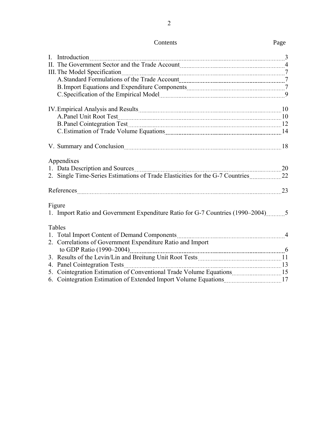|--|

| I. Introduction 3                                                                                                                                                                                                              |  |
|--------------------------------------------------------------------------------------------------------------------------------------------------------------------------------------------------------------------------------|--|
|                                                                                                                                                                                                                                |  |
|                                                                                                                                                                                                                                |  |
|                                                                                                                                                                                                                                |  |
|                                                                                                                                                                                                                                |  |
|                                                                                                                                                                                                                                |  |
| A.Panel Unit Root Test 10 10                                                                                                                                                                                                   |  |
|                                                                                                                                                                                                                                |  |
| C. Estimation of Trade Volume Equations [14] [14] The State of Trade Volume Equations [14] [14] The State of Trade Volume Equations [14] The State of Trade Volume Equations [14] The State of Trade Volume Equations [14] The |  |
|                                                                                                                                                                                                                                |  |
| Appendixes<br>1. Data Description and Sources <b>Manual Accord 20</b> 20                                                                                                                                                       |  |
|                                                                                                                                                                                                                                |  |
|                                                                                                                                                                                                                                |  |
| References 23                                                                                                                                                                                                                  |  |
| Figure                                                                                                                                                                                                                         |  |
| 1. Import Ratio and Government Expenditure Ratio for G-7 Countries (1990–2004) 5                                                                                                                                               |  |
| Tables                                                                                                                                                                                                                         |  |
|                                                                                                                                                                                                                                |  |
| 2. Correlations of Government Expenditure Ratio and Import                                                                                                                                                                     |  |
|                                                                                                                                                                                                                                |  |
|                                                                                                                                                                                                                                |  |
|                                                                                                                                                                                                                                |  |
| 5. Cointegration Estimation of Conventional Trade Volume Equations15                                                                                                                                                           |  |
| 6. Cointegration Estimation of Extended Import Volume Equations [17] 17                                                                                                                                                        |  |
|                                                                                                                                                                                                                                |  |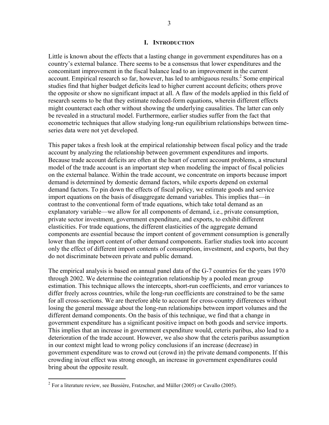#### **I. INTRODUCTION**

Little is known about the effects that a lasting change in government expenditures has on a country's external balance. There seems to be a consensus that lower expenditures and the concomitant improvement in the fiscal balance lead to an improvement in the current account. Empirical research so far, however, has led to ambiguous results. $2$  Some empirical studies find that higher budget deficits lead to higher current account deficits; others prove the opposite or show no significant impact at all. A flaw of the models applied in this field of research seems to be that they estimate reduced-form equations, wherein different effects might counteract each other without showing the underlying causalities. The latter can only be revealed in a structural model. Furthermore, earlier studies suffer from the fact that econometric techniques that allow studying long-run equilibrium relationships between timeseries data were not yet developed.

This paper takes a fresh look at the empirical relationship between fiscal policy and the trade account by analyzing the relationship between government expenditures and imports. Because trade account deficits are often at the heart of current account problems, a structural model of the trade account is an important step when modeling the impact of fiscal policies on the external balance. Within the trade account, we concentrate on imports because import demand is determined by domestic demand factors, while exports depend on external demand factors. To pin down the effects of fiscal policy, we estimate goods and service import equations on the basis of disaggregate demand variables. This implies that—in contrast to the conventional form of trade equations, which take total demand as an explanatory variable—we allow for all components of demand, i.e., private consumption, private sector investment, government expenditure, and exports, to exhibit different elasticities. For trade equations, the different elasticities of the aggregate demand components are essential because the import content of government consumption is generally lower than the import content of other demand components. Earlier studies took into account only the effect of different import contents of consumption, investment, and exports, but they do not discriminate between private and public demand.

The empirical analysis is based on annual panel data of the G-7 countries for the years 1970 through 2002. We determine the cointegration relationship by a pooled mean group estimation. This technique allows the intercepts, short-run coefficients, and error variances to differ freely across countries, while the long-run coefficients are constrained to be the same for all cross-sections. We are therefore able to account for cross-country differences without losing the general message about the long-run relationships between import volumes and the different demand components. On the basis of this technique, we find that a change in government expenditure has a significant positive impact on both goods and service imports. This implies that an increase in government expenditure would, ceteris paribus, also lead to a deterioration of the trade account. However, we also show that the ceteris paribus assumption in our context might lead to wrong policy conclusions if an increase (decrease) in government expenditure was to crowd out (crowd in) the private demand components. If this crowding in/out effect was strong enough, an increase in government expenditures could bring about the opposite result.

 $2^2$  For a literature review, see Bussière, Fratzscher, and Müller (2005) or Cavallo (2005).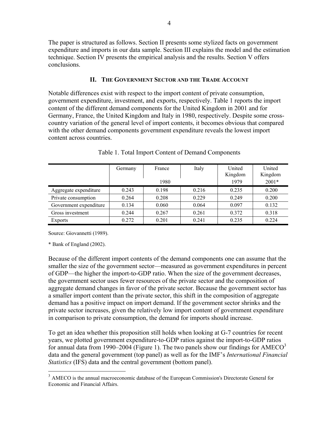The paper is structured as follows. Section II presents some stylized facts on government expenditure and imports in our data sample. Section III explains the model and the estimation technique. Section IV presents the empirical analysis and the results. Section V offers conclusions.

## **II. THE GOVERNMENT SECTOR AND THE TRADE ACCOUNT**

Notable differences exist with respect to the import content of private consumption, government expenditure, investment, and exports, respectively. Table 1 reports the import content of the different demand components for the United Kingdom in 2001 and for Germany, France, the United Kingdom and Italy in 1980, respectively. Despite some crosscountry variation of the general level of import contents, it becomes obvious that compared with the other demand components government expenditure reveals the lowest import content across countries.

|                        | Germany | France<br>1980 | Italy | United<br>Kingdom<br>1979 | United<br>Kingdom<br>$2001*$ |
|------------------------|---------|----------------|-------|---------------------------|------------------------------|
|                        |         |                |       |                           |                              |
| Aggregate expenditure  | 0.243   | 0.198          | 0.216 | 0.235                     | 0.200                        |
| Private consumption    | 0.264   | 0.208          | 0.229 | 0.249                     | 0.200                        |
| Government expenditure | 0.134   | 0.060          | 0.064 | 0.097                     | 0.132                        |
| Gross investment       | 0.244   | 0.267          | 0.261 | 0.372                     | 0.318                        |
| Exports                | 0.272   | 0.201          | 0.241 | 0.235                     | 0.224                        |

Table 1. Total Import Content of Demand Components

Source: Giovannetti (1989).

\* Bank of England (2002).

1

Because of the different import contents of the demand components one can assume that the smaller the size of the government sector—measured as government expenditures in percent of GDP—the higher the import-to-GDP ratio. When the size of the government decreases, the government sector uses fewer resources of the private sector and the composition of aggregate demand changes in favor of the private sector. Because the government sector has a smaller import content than the private sector, this shift in the composition of aggregate demand has a positive impact on import demand. If the government sector shrinks and the private sector increases, given the relatively low import content of government expenditure in comparison to private consumption, the demand for imports should increase.

To get an idea whether this proposition still holds when looking at G-7 countries for recent years, we plotted government expenditure-to-GDP ratios against the import-to-GDP ratios for annual data from 1990–2004 (Figure 1). The two panels show our findings for  $AMECO<sup>3</sup>$ data and the general government (top panel) as well as for the IMF's *International Financial Statistics* (IFS) data and the central government (bottom panel).

<sup>&</sup>lt;sup>3</sup> AMECO is the annual macroeconomic database of the European Commission's Directorate General for Economic and Financial Affairs.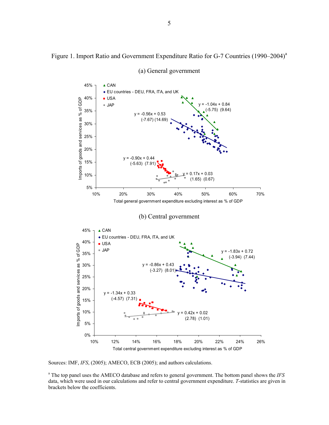Figure 1. Import Ratio and Government Expenditure Ratio for G-7 Countries (1990–2004)<sup>a</sup>



(a) General government

Sources: IMF, *IFS*, (2005); AMECO, ECB (2005); and authors calculations.

a The top panel uses the AMECO database and refers to general government. The bottom panel shows the *IFS* data, which were used in our calculations and refer to central government expenditure. *T*-statistics are given in brackets below the coefficients.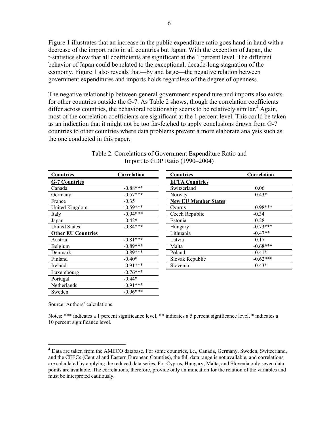Figure 1 illustrates that an increase in the public expenditure ratio goes hand in hand with a decrease of the import ratio in all countries but Japan. With the exception of Japan, the t*-*statistics show that all coefficients are significant at the 1 percent level. The different behavior of Japan could be related to the exceptional, decade-long stagnation of the economy. Figure 1 also reveals that—by and large—the negative relation between government expenditures and imports holds regardless of the degree of openness.

The negative relationship between general government expenditure and imports also exists for other countries outside the G-7. As Table 2 shows, though the correlation coefficients differ across countries, the behavioral relationship seems to be relatively similar.<sup>4</sup> Again, most of the correlation coefficients are significant at the 1 percent level. This could be taken as an indication that it might not be too far-fetched to apply conclusions drawn from G-7 countries to other countries where data problems prevent a more elaborate analysis such as the one conducted in this paper.

| Countries                 | Correlation | Countries                   | Correlation |
|---------------------------|-------------|-----------------------------|-------------|
| <b>G-7 Countries</b>      |             | <b>EFTA Countries</b>       |             |
| Canada                    | $-0.88***$  | Switzerland                 | 0.06        |
| Germany                   | $-0.57***$  | Norway                      | $0.43*$     |
| France                    | $-0.35$     | <b>New EU Member States</b> |             |
| United Kingdom            | $-0.59***$  | Cyprus                      | $-0.98***$  |
| Italy                     | $-0.94***$  | Czech Republic              | $-0.34$     |
| Japan                     | $0.42*$     | Estonia                     | $-0.28$     |
| <b>United States</b>      | $-0.84***$  | Hungary                     | $-0.73***$  |
| <b>Other EU Countries</b> |             | Lithuania                   | $-0.47**$   |
| Austria                   | $-0.81***$  | Latvia                      | 0.17        |
| Belgium                   | $-0.89***$  | Malta                       | $-0.68***$  |
| Denmark                   | $-0.89***$  | Poland                      | $-0.41*$    |
| Finland                   | $-0.40*$    | Slovak Republic             | $-0.62***$  |
| Ireland                   | $-0.91***$  | Slovenia                    | $-0.43*$    |
| Luxembourg                | $-0.76***$  |                             |             |
| Portugal                  | $-0.44*$    |                             |             |
| Netherlands               | $-0.91***$  |                             |             |
| Sweden                    | $-0.96***$  |                             |             |

| Table 2. Correlations of Government Expenditure Ratio and |  |
|-----------------------------------------------------------|--|
| Import to GDP Ratio $(1990-2004)$                         |  |

Source: Authors' calculations.

 $\overline{a}$ 

Notes: \*\*\* indicates a 1 percent significance level, \*\* indicates a 5 percent significance level, \* indicates a 10 percent significance level.

<sup>&</sup>lt;sup>4</sup> Data are taken from the AMECO database. For some countries, i.e., Canada, Germany, Sweden, Switzerland, and the CEECs (Central and Eastern European Counties), the full data range is not available, and correlations are calculated by applying the reduced data series. For Cyprus, Hungary, Malta, and Slovenia only seven data points are available. The correlations, therefore, provide only an indication for the relation of the variables and must be interpreted cautiously.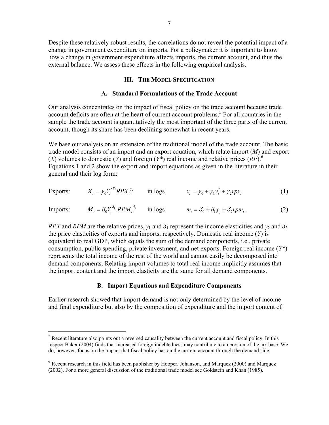Despite these relatively robust results, the correlations do not reveal the potential impact of a change in government expenditure on imports. For a policymaker it is important to know how a change in government expenditure affects imports, the current account, and thus the external balance. We assess these effects in the following empirical analysis.

#### **III. THE MODEL SPECIFICATION**

#### **A. Standard Formulations of the Trade Account**

Our analysis concentrates on the impact of fiscal policy on the trade account because trade account deficits are often at the heart of current account problems.<sup>5</sup> For all countries in the sample the trade account is quantitatively the most important of the three parts of the current account, though its share has been declining somewhat in recent years.

We base our analysis on an extension of the traditional model of the trade account. The basic trade model consists of an import and an export equation, which relate import (*M*) and export (*X*) volumes to domestic (*Y*) and foreign (*Y\**) real income and relative prices (*RP*).6 Equations 1 and 2 show the export and import equations as given in the literature in their general and their log form:

Express: 
$$
X_t = \gamma_0 Y_t^{*\gamma_1} R P X_t^{\gamma_2} \quad \text{in logs} \quad x_t = \gamma_0 + \gamma_1 y_t^* + \gamma_2 r p x_t \tag{1}
$$

Imports:  $M_t = \delta_0 Y_t^{\delta_1} R P M_t^{\delta_2}$  in logs  $m_t = \delta_0 + \delta_1 y_t + \delta_2 r p m_t$ . (2)

*RPX* and *RPM* are the relative prices,  $\gamma_1$  and  $\delta_1$  represent the income elasticities and  $\gamma_2$  and  $\delta_2$ the price elasticities of exports and imports, respectively. Domestic real income (*Y*) is equivalent to real GDP, which equals the sum of the demand components, i.e., private consumption, public spending, private investment, and net exports. Foreign real income (*Y\**) represents the total income of the rest of the world and cannot easily be decomposed into demand components. Relating import volumes to total real income implicitly assumes that the import content and the import elasticity are the same for all demand components.

#### **B. Import Equations and Expenditure Components**

Earlier research showed that import demand is not only determined by the level of income and final expenditure but also by the composition of expenditure and the import content of

1

 $<sup>5</sup>$  Recent literature also points out a reversed causality between the current account and fiscal policy. In this</sup> respect Baker (2004) finds that increased foreign indebtedness may contribute to an erosion of the tax base. We do, however, focus on the impact that fiscal policy has on the current account through the demand side.

<sup>6</sup> Recent research in this field has been publisher by Hooper, Johanson, and Marquez (2000) and Marquez (2002). For a more general discussion of the traditional trade model see Goldstein and Khan (1985).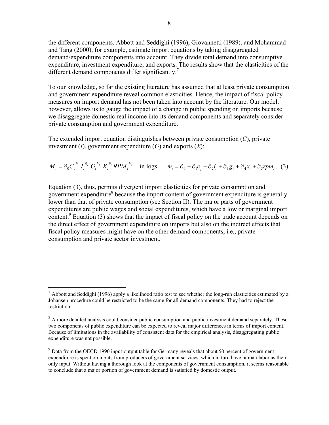the different components. Abbott and Seddighi (1996), Giovannetti (1989), and Mohammad and Tang (2000), for example, estimate import equations by taking disaggregated demand/expenditure components into account. They divide total demand into consumptive expenditure, investment expenditure, and exports. The results show that the elasticities of the different demand components differ significantly.<sup>7</sup>

To our knowledge, so far the existing literature has assumed that at least private consumption and government expenditure reveal common elasticities. Hence, the impact of fiscal policy measures on import demand has not been taken into account by the literature. Our model, however, allows us to gauge the impact of a change in public spending on imports because we disaggregate domestic real income into its demand components and separately consider private consumption and government expenditure.

The extended import equation distinguishes between private consumption (*C*), private investment (*I*), government expenditure (*G*) and exports (*X*):

$$
M_t = \partial_0 C_t^{\partial_1} I_t^{\partial_2} G_t^{\partial_3} X_t^{\partial_4} R P M_t^{\partial_5} \quad \text{in logs} \quad m_t = \partial_0 + \partial_1 c_t^{\partial_1} + \partial_2 i_t^{\partial_2} + \partial_3 g_t^{\partial_3} + \partial_4 x_t^{\partial_4} + \partial_5 r p m_t. \tag{3}
$$

Equation (3), thus, permits divergent import elasticities for private consumption and government expenditure<sup>8</sup> because the import content of government expenditure is generally lower than that of private consumption (see Section II). The major parts of government expenditures are public wages and social expenditures, which have a low or marginal import content.<sup>9</sup> Equation (3) shows that the impact of fiscal policy on the trade account depends on the direct effect of government expenditure on imports but also on the indirect effects that fiscal policy measures might have on the other demand components, i.e., private consumption and private sector investment.

 $^7$  Abbott and Seddighi (1996) apply a likelihood ratio test to see whether the long-run elasticities estimated by a Johansen procedure could be restricted to be the same for all demand components. They had to reject the restriction.

 $8<sup>8</sup>$  A more detailed analysis could consider public consumption and public investment demand separately. These two components of public expenditure can be expected to reveal major differences in terms of import content. Because of limitations in the availability of consistent data for the empirical analysis, disaggregating public expenditure was not possible.

 $9<sup>9</sup>$  Data from the OECD 1990 input-output table for Germany reveals that about 50 percent of government expenditure is spent on inputs from producers of government services, which in turn have human labor as their only input. Without having a thorough look at the components of government consumption, it seems reasonable to conclude that a major portion of government demand is satisfied by domestic output.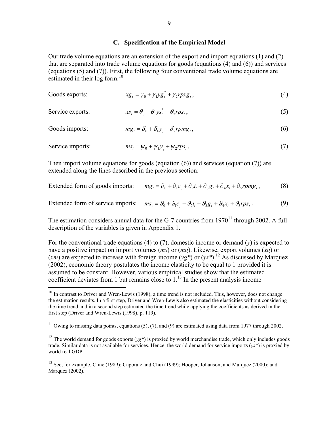## **C. Specification of the Empirical Model**

Our trade volume equations are an extension of the export and import equations (1) and (2) that are separated into trade volume equations for goods (equations (4) and (6)) and services (equations (5) and (7)). First, the following four conventional trade volume equations are estimated in their log form:  $10<sup>10</sup>$ 

| Goods exports:   | $xg_t = \gamma_0 + \gamma_1 yg_t^* + \gamma_2 r p x g_t^*,$  | (4) |
|------------------|--------------------------------------------------------------|-----|
| Service exports: | $xs_{t} = \theta_0 + \theta_1 ys_{t}^* + \theta_2 rps_{t}$ , | (5) |
| Goods imports:   | $mg_t = \delta_0 + \delta_1 y + \delta_2 r p m g_t$ ,        | (6) |
| Service imports: | $ms_t = \psi_0 + \psi_1 y_t + \psi_2 r p s_t$ ,              | (7) |

Then import volume equations for goods (equation (6)) and services (equation (7)) are extended along the lines described in the previous section:

Extended form of goods imports: 
$$
mg_t = \partial_0 + \partial_1 c_t + \partial_2 i_t + \partial_3 g_t + \partial_4 x_t + \partial_5 r p m g_t,
$$
 (8)

Extended form of service imports:  $ms_t = \theta_0 + \theta_1 c + \theta_2 i_t + \theta_3 g_t + \theta_4 x_t + \theta_5 r p s_t$ . (9)

The estimation considers annual data for the G-7 countries from  $1970<sup>11</sup>$  through 2002. A full description of the variables is given in Appendix 1.

For the conventional trade equations (4) to (7), domestic income or demand ( $\nu$ ) is expected to have a positive impact on import volumes (*ms*) or (*mg*). Likewise, export volumes (*xg*) or  $(xm)$  are expected to increase with foreign income  $(yg^*)$  or  $(yg^*)$ .<sup>12</sup> As discussed by Marquez (2002), economic theory postulates the income elasticity to be equal to 1 provided it is assumed to be constant. However, various empirical studies show that the estimated coefficient deviates from 1 but remains close to  $1<sup>13</sup>$  In the present analysis income

 $10$  In contrast to Driver and Wren-Lewis (1998), a time trend is not included. This, however, does not change the estimation results. In a first step, Driver and Wren-Lewis also estimated the elasticities without considering the time trend and in a second step estimated the time trend while applying the coefficients as derived in the first step (Driver and Wren-Lewis (1998), p. 119).

<sup>&</sup>lt;sup>11</sup> Owing to missing data points, equations (5), (7), and (9) are estimated using data from 1977 through 2002.

<sup>&</sup>lt;sup>12</sup> The world demand for goods exports ( $yg^*$ ) is proxied by world merchandise trade, which only includes goods trade. Similar data is not available for services. Hence, the world demand for service imports (*ys\**) is proxied by world real GDP.

<sup>&</sup>lt;sup>13</sup> See, for example, Cline (1989); Caporale and Chui (1999); Hooper, Johanson, and Marquez (2000); and Marquez (2002).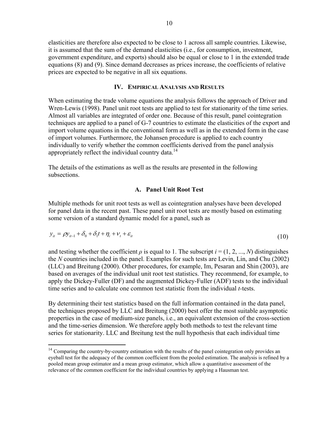elasticities are therefore also expected to be close to 1 across all sample countries. Likewise, it is assumed that the sum of the demand elasticities (i.e., for consumption, investment, government expenditure, and exports) should also be equal or close to 1 in the extended trade equations (8) and (9). Since demand decreases as prices increase, the coefficients of relative prices are expected to be negative in all six equations.

#### **IV. EMPIRICAL ANALYSIS AND RESULTS**

When estimating the trade volume equations the analysis follows the approach of Driver and Wren-Lewis (1998). Panel unit root tests are applied to test for stationarity of the time series. Almost all variables are integrated of order one. Because of this result, panel cointegration techniques are applied to a panel of G-7 countries to estimate the elasticities of the export and import volume equations in the conventional form as well as in the extended form in the case of import volumes. Furthermore, the Johansen procedure is applied to each country individually to verify whether the common coefficients derived from the panel analysis appropriately reflect the individual country data.<sup>14</sup>

The details of the estimations as well as the results are presented in the following subsections.

#### **A. Panel Unit Root Test**

Multiple methods for unit root tests as well as cointegration analyses have been developed for panel data in the recent past. These panel unit root tests are mostly based on estimating some version of a standard dynamic model for a panel, such as

$$
y_{it} = \rho y_{it-1} + \delta_0 + \delta_1 t + \eta_i + \nu_t + \varepsilon_{it}
$$
\n
$$
\tag{10}
$$

and testing whether the coefficient  $\rho$  is equal to 1. The subscript  $i = (1, 2, ..., N)$  distinguishes the *N* countries included in the panel. Examples for such tests are Levin, Lin, and Chu (2002) (LLC) and Breitung (2000). Other procedures, for example, Im, Pesaran and Shin (2003), are based on averages of the individual unit root test statistics. They recommend, for example, to apply the Dickey-Fuller (DF) and the augmented Dickey-Fuller (ADF) tests to the individual time series and to calculate one common test statistic from the individual *t-*tests.

By determining their test statistics based on the full information contained in the data panel, the techniques proposed by LLC and Breitung (2000) best offer the most suitable asymptotic properties in the case of medium-size panels, i.e., an equivalent extension of the cross-section and the time-series dimension. We therefore apply both methods to test the relevant time series for stationarity. LLC and Breitung test the null hypothesis that each individual time

<sup>&</sup>lt;sup>14</sup> Comparing the country-by-country estimation with the results of the panel cointegration only provides an eyeball test for the adequacy of the common coefficient from the pooled estimation. The analysis is refined by a pooled mean group estimator and a mean group estimator, which allow a quantitative assessment of the relevance of the common coefficient for the individual countries by applying a Hausman test.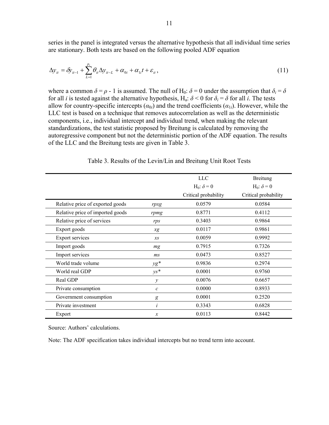series in the panel is integrated versus the alternative hypothesis that all individual time series are stationary. Both tests are based on the following pooled ADF equation

$$
\Delta y_{it} = \delta y_{it-1} + \sum_{L=1}^{p_i} \theta_{it} \Delta y_{it-L} + \alpha_{0i} + \alpha_{1i} t + \varepsilon_{it},
$$
\n(11)

where a common  $\delta = \rho - 1$  is assumed. The null of H<sub>0</sub>:  $\delta = 0$  under the assumption that  $\delta_i = \delta$ for all *i* is tested against the alternative hypothesis, H<sub>a</sub>:  $\delta$  < 0 for  $\delta$ <sup>*i*</sup> =  $\delta$  for all *i*. The tests allow for country-specific intercepts  $(a_{0i})$  and the trend coefficients  $(a_{1i})$ . However, while the LLC test is based on a technique that removes autocorrelation as well as the deterministic components, i.e., individual intercept and individual trend, when making the relevant standardizations, the test statistic proposed by Breitung is calculated by removing the autoregressive component but not the deterministic portion of the ADF equation. The results of the LLC and the Breitung tests are given in Table 3.

|                                  |               | <b>LLC</b>                    | Breitung                      |
|----------------------------------|---------------|-------------------------------|-------------------------------|
|                                  |               | H <sub>0</sub> : $\delta$ = 0 | H <sub>0</sub> : $\delta$ = 0 |
|                                  |               | Critical probability          | Critical probability          |
| Relative price of exported goods | rpxg          | 0.0579                        | 0.0584                        |
| Relative price of imported goods | rpmg          | 0.8771                        | 0.4112                        |
| Relative price of services       | rps           | 0.3403                        | 0.9864                        |
| Export goods                     | xg            | 0.0117                        | 0.9861                        |
| <b>Export services</b>           | $x_{S}$       | 0.0059                        | 0.9992                        |
| Import goods                     | mg            | 0.7915                        | 0.7326                        |
| Import services                  | ms            | 0.0473                        | 0.8527                        |
| World trade volume               | $\gamma g^*$  | 0.9836                        | 0.2974                        |
| World real GDP                   | $\gamma s^*$  | 0.0001                        | 0.9760                        |
| Real GDP                         | $\mathcal{Y}$ | 0.0076                        | 0.6657                        |
| Private consumption              | $\mathcal{C}$ | 0.0000                        | 0.8933                        |
| Government consumption           | g             | 0.0001                        | 0.2520                        |
| Private investment               | i             | 0.3343                        | 0.6828                        |
| Export                           | x             | 0.0113                        | 0.8442                        |

Table 3. Results of the Levin/Lin and Breitung Unit Root Tests

Source: Authors' calculations.

Note: The ADF specification takes individual intercepts but no trend term into account.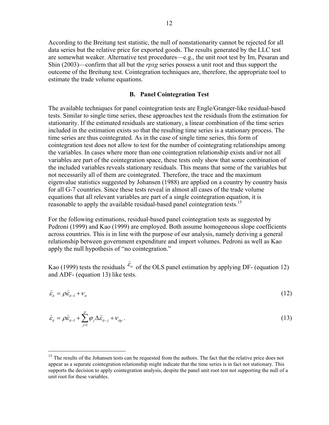According to the Breitung test statistic, the null of nonstationarity cannot be rejected for all data series but the relative price for exported goods. The results generated by the LLC test are somewhat weaker. Alternative test procedures—e.g., the unit root test by Im, Pesaran and Shin (2003)—confirm that all but the *rpxg* series possess a unit root and thus support the outcome of the Breitung test. Cointegration techniques are, therefore, the appropriate tool to estimate the trade volume equations.

## **B. Panel Cointegration Test**

The available techniques for panel cointegration tests are Engle/Granger-like residual-based tests. Similar to single time series, these approaches test the residuals from the estimation for stationarity. If the estimated residuals are stationary, a linear combination of the time series included in the estimation exists so that the resulting time series is a stationary process. The time series are thus cointegrated. As in the case of single time series, this form of cointegration test does not allow to test for the number of cointegrating relationships among the variables. In cases where more than one cointegration relationship exists and/or not all variables are part of the cointegration space, these tests only show that some combination of the included variables reveals stationary residuals. This means that some of the variables but not necessarily all of them are cointegrated. Therefore, the trace and the maximum eigenvalue statistics suggested by Johansen (1988) are applied on a country by country basis for all G-7 countries. Since these tests reveal in almost all cases of the trade volume equations that all relevant variables are part of a single cointegration equation, it is reasonable to apply the available residual-based panel cointegration tests.<sup>15</sup>

For the following estimations, residual-based panel cointegration tests as suggested by Pedroni (1999) and Kao (1999) are employed. Both assume homogeneous slope coefficients across countries. This is in line with the purpose of our analysis, namely deriving a general relationship between government expenditure and import volumes. Pedroni as well as Kao apply the null hypothesis of "no cointegration."

Kao (1999) tests the residuals  $\varepsilon_{it}$  $\widehat{c}$  of the OLS panel estimation by applying DF- (equation 12) and ADF- (equation 13) like tests.

$$
\hat{\varepsilon}_u = \rho \hat{\varepsilon}_{u-1} + \nu_u \tag{12}
$$

$$
\hat{\varepsilon}_{it} = \rho \hat{\varepsilon}_{it-1} + \sum_{j=1}^{p} \varphi_j \Delta \hat{\varepsilon}_{it-j} + v_{ip} \,. \tag{13}
$$

<sup>&</sup>lt;sup>15</sup> The results of the Johansen tests can be requested from the authors. The fact that the relative price does not appear as a separate cointegration relationship might indicate that the time series is in fact not stationary. This supports the decision to apply cointegration analysis, despite the panel unit root test not supporting the null of a unit root for these variables.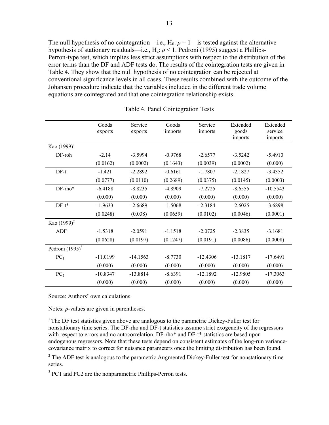The null hypothesis of no cointegration—i.e.,  $H_0: \rho = 1$ —is tested against the alternative hypothesis of stationary residuals—i.e., Ha: *ρ* < 1. Pedroni (1995) suggest a Phillips-Perron-type test, which implies less strict assumptions with respect to the distribution of the error terms than the DF and ADF tests do. The results of the cointegration tests are given in Table 4. They show that the null hypothesis of no cointegration can be rejected at conventional significance levels in all cases. These results combined with the outcome of the Johansen procedure indicate that the variables included in the different trade volume equations are cointegrated and that one cointegration relationship exists.

|                    | Goods<br>exports | Service<br>exports | Goods<br>imports | Service<br>imports | Extended<br>goods<br>imports | Extended<br>service<br>imports |
|--------------------|------------------|--------------------|------------------|--------------------|------------------------------|--------------------------------|
| Kao $(1999)^1$     |                  |                    |                  |                    |                              |                                |
| $DF$ -roh          | $-2.14$          | $-3.5994$          | $-0.9768$        | $-2.6577$          | $-3.5242$                    | $-5.4910$                      |
|                    | (0.0162)         | (0.0002)           | (0.1643)         | (0.0039)           | (0.0002)                     | (0.000)                        |
| $DF-t$             | $-1.421$         | $-2.2892$          | $-0.6161$        | $-1.7807$          | $-2.1827$                    | $-3.4352$                      |
|                    | (0.0777)         | (0.0110)           | (0.2689)         | (0.0375)           | (0.0145)                     | (0.0003)                       |
| DF-rho*            | $-6.4188$        | $-8.8235$          | $-4.8909$        | $-7.2725$          | $-8.6555$                    | $-10.5543$                     |
|                    | (0.000)          | (0.000)            | (0.000)          | (0.000)            | (0.000)                      | (0.000)                        |
| $DF-t^*$           | $-1.9633$        | $-2.6689$          | $-1.5068$        | $-2.3184$          | $-2.6025$                    | $-3.6898$                      |
|                    | (0.0248)         | (0.038)            | (0.0659)         | (0.0102)           | (0.0046)                     | (0.0001)                       |
| Kao $(1999)^2$     |                  |                    |                  |                    |                              |                                |
| ADF                | $-1.5318$        | $-2.0591$          | $-1.1518$        | $-2.0725$          | $-2.3835$                    | $-3.1681$                      |
|                    | (0.0628)         | (0.0197)           | (0.1247)         | (0.0191)           | (0.0086)                     | (0.0008)                       |
| Pedroni $(1995)^3$ |                  |                    |                  |                    |                              |                                |
| $PC_1$             | $-11.0199$       | $-14.1563$         | $-8.7730$        | $-12.4306$         | $-13.1817$                   | $-17.6491$                     |
|                    | (0.000)          | (0.000)            | (0.000)          | (0.000)            | (0.000)                      | (0.000)                        |
| PC <sub>2</sub>    | $-10.8347$       | $-13.8814$         | $-8.6391$        | $-12.1892$         | $-12.9805$                   | $-17.3063$                     |
|                    | (0.000)          | (0.000)            | (0.000)          | (0.000)            | (0.000)                      | (0.000)                        |

Table 4. Panel Cointegration Tests

Source: Authors' own calculations.

Notes: *p*-values are given in parentheses.

<sup>1</sup> The DF test statistics given above are analogous to the parametric Dickey-Fuller test for nonstationary time series. The DF-rho and DF-t statistics assume strict exogeneity of the regressors with respect to errors and no autocorrelation. DF-rho\* and DF-t\* statistics are based upon endogenous regressors. Note that these tests depend on consistent estimates of the long-run variancecovariance matrix to correct for nuisance parameters once the limiting distribution has been found.

 $2^2$  The ADF test is analogous to the parametric Augmented Dickey-Fuller test for nonstationary time series.

<sup>3</sup> PC1 and PC2 are the nonparametric Phillips-Perron tests.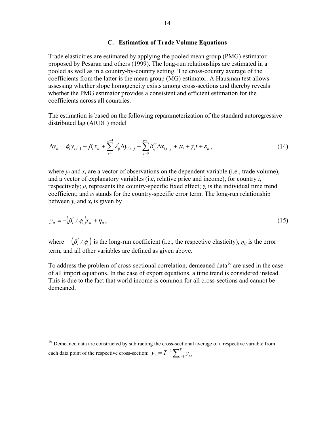#### **C. Estimation of Trade Volume Equations**

Trade elasticities are estimated by applying the pooled mean group (PMG) estimator proposed by Pesaran and others (1999). The long-run relationships are estimated in a pooled as well as in a country-by-country setting. The cross-country average of the coefficients from the latter is the mean group (MG) estimator. A Hausman test allows assessing whether slope homogeneity exists among cross-sections and thereby reveals whether the PMG estimator provides a consistent and efficient estimation for the coefficients across all countries.

The estimation is based on the following reparameterization of the standard autoregressive distributed lag (ARDL) model

$$
\Delta y_{it} = \phi_i y_{i,t-1} + \beta_i' x_{it} + \sum_{j=1}^{p-1} \lambda_{ij}^* \Delta y_{i,t-j} + \sum_{j=0}^{p-1} \delta_{ij}^{*'} \Delta x_{i,t-j} + \mu_i + \gamma_i t + \varepsilon_{it},
$$
\n(14)

where  $v_i$  and  $x_i$  are a vector of observations on the dependent variable (i.e., trade volume), and a vector of explanatory variables (i.e, relative price and income), for country *i*, respectively;  $\mu_i$  represents the country-specific fixed effect;  $\gamma_i$  is the individual time trend coefficient; and  $\varepsilon_i$  stands for the country-specific error term. The long-run relationship between  $v_i$  and  $x_i$  is given by

$$
y_{it} = -\left(\beta_i' / \phi_i\right) x_{it} + \eta_{it},\tag{15}
$$

where  $(\beta_i' / \phi_i)$  is the long-run coefficient (i.e., the respective elasticity),  $\eta_{it}$  is the error term, and all other variables are defined as given above.

To address the problem of cross-sectional correlation, demeaned data<sup>16</sup> are used in the case of all import equations. In the case of export equations, a time trend is considered instead. This is due to the fact that world income is common for all cross-sections and cannot be demeaned.

 $16$  Demeaned data are constructed by subtracting the cross-sectional average of a respective variable from each data point of the respective cross-section:  $\overline{y}_i = T^{-1} \sum_{i=1}^T y_{i,t}$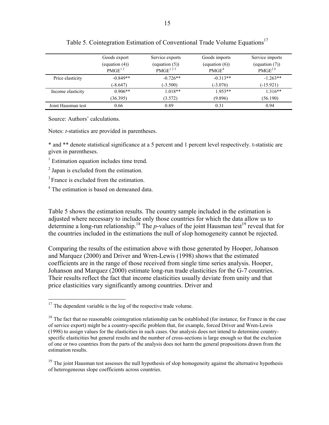|                    | Goods export<br>(equation $(4)$ )<br>PMGE <sup>12</sup> | Service exports<br>(equation $(5)$ )<br>$PMGE^{123}$ | Goods imports<br>$\left($ equation $\left( 6 \right)$<br>PMGE <sup>4</sup> | Service imports<br>(equation (7))<br>PMGE <sup>24</sup> |
|--------------------|---------------------------------------------------------|------------------------------------------------------|----------------------------------------------------------------------------|---------------------------------------------------------|
| Price elasticity   | $-0.849**$                                              | $-0.726**$                                           | $-0.313**$                                                                 | $-1.263**$                                              |
|                    | $(-8.647)$                                              | $(-3.500)$                                           | $(-3.076)$                                                                 | $(-15.921)$                                             |
| Income elasticity  | $0.906**$                                               | $1.018**$                                            | $1.953**$                                                                  | $1.316**$                                               |
|                    | (36.395)                                                | (3.572)                                              | (9.896)                                                                    | (56.190)                                                |
| Joint Hausman test | 0.66                                                    | 0.89                                                 | 0.31                                                                       | 0.94                                                    |

## Table 5. Cointegration Estimation of Conventional Trade Volume Equations<sup>17</sup>

Source: Authors' calculations.

Notes: *t*-statistics are provided in parentheses.

\* and \*\* denote statistical significance at a 5 percent and 1 percent level respectively. t-statistic are given in parentheses.

<sup>1</sup> Estimation equation includes time trend.

<sup>2</sup> Japan is excluded from the estimation.

<sup>3</sup> France is excluded from the estimation.

 $\overline{a}$ 

<sup>4</sup> The estimation is based on demeaned data.

Table 5 shows the estimation results. The country sample included in the estimation is adjusted where necessary to include only those countries for which the data allow us to determine a long-run relationship.<sup>18</sup> The *p*-values of the joint Hausman test<sup>19</sup> reveal that for the countries included in the estimations the null of slop homogeneity cannot be rejected.

Comparing the results of the estimation above with those generated by Hooper, Johanson and Marquez (2000) and Driver and Wren-Lewis (1998) shows that the estimated coefficients are in the range of those received from single time series analysis. Hooper, Johanson and Marquez (2000) estimate long-run trade elasticities for the G-7 countries. Their results reflect the fact that income elasticities usually deviate from unity and that price elasticities vary significantly among countries. Driver and

 $17$  The dependent variable is the log of the respective trade volume.

 $18$  The fact that no reasonable cointegration relationship can be established (for instance, for France in the case of service export) might be a country-specific problem that, for example, forced Driver and Wren-Lewis (1998) to assign values for the elasticities in such cases. Our analysis does not intend to determine countryspecific elasticities but general results and the number of cross-sections is large enough so that the exclusion of one or two countries from the parts of the analysis does not harm the general propositions drawn from the estimation results.

<sup>&</sup>lt;sup>19</sup> The joint Hausman test assesses the null hypothesis of slop homogeneity against the alternative hypothesis of heterogeneous slope coefficients across countries.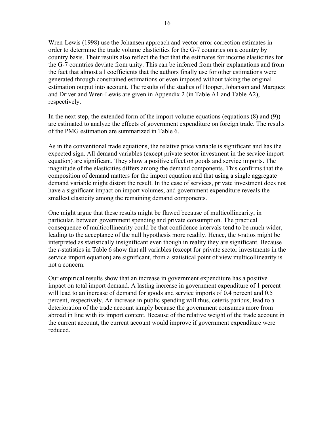Wren-Lewis (1998) use the Johansen approach and vector error correction estimates in order to determine the trade volume elasticities for the G-7 countries on a country by country basis. Their results also reflect the fact that the estimates for income elasticities for the G-7 countries deviate from unity. This can be inferred from their explanations and from the fact that almost all coefficients that the authors finally use for other estimations were generated through constrained estimations or even imposed without taking the original estimation output into account. The results of the studies of Hooper, Johanson and Marquez and Driver and Wren-Lewis are given in Appendix 2 (in Table A1 and Table A2), respectively.

In the next step, the extended form of the import volume equations (equations (8) and (9)) are estimated to analyze the effects of government expenditure on foreign trade. The results of the PMG estimation are summarized in Table 6.

As in the conventional trade equations, the relative price variable is significant and has the expected sign. All demand variables (except private sector investment in the service import equation) are significant. They show a positive effect on goods and service imports. The magnitude of the elasticities differs among the demand components. This confirms that the composition of demand matters for the import equation and that using a single aggregate demand variable might distort the result. In the case of services, private investment does not have a significant impact on import volumes, and government expenditure reveals the smallest elasticity among the remaining demand components.

One might argue that these results might be flawed because of multicollinearity, in particular, between government spending and private consumption. The practical consequence of multicollinearity could be that confidence intervals tend to be much wider, leading to the acceptance of the null hypothesis more readily. Hence, the *t*-ratios might be interpreted as statistically insignificant even though in reality they are significant. Because the *t*-statistics in Table 6 show that all variables (except for private sector investments in the service import equation) are significant, from a statistical point of view multicollinearity is not a concern.

Our empirical results show that an increase in government expenditure has a positive impact on total import demand. A lasting increase in government expenditure of 1 percent will lead to an increase of demand for goods and service imports of 0.4 percent and 0.5 percent, respectively. An increase in public spending will thus, ceteris paribus, lead to a deterioration of the trade account simply because the government consumes more from abroad in line with its import content. Because of the relative weight of the trade account in the current account, the current account would improve if government expenditure were reduced.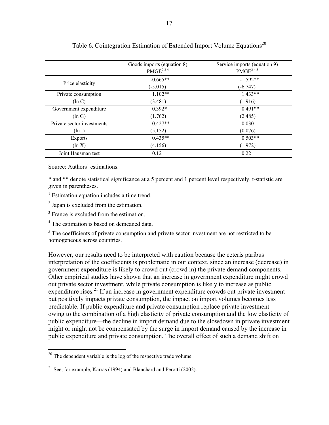|                            | Goods imports (equation 8)<br>PMGE <sup>234</sup> | Service imports (equation 9)<br>$PMGE^{245}$ |
|----------------------------|---------------------------------------------------|----------------------------------------------|
|                            | $-0.665**$                                        | $-1.592**$                                   |
| Price elasticity           | $(-5.015)$                                        | $(-6.747)$                                   |
| Private consumption        | $1.102**$                                         | $1.433**$                                    |
| $(\ln C)$                  | (3.481)                                           | (1.916)                                      |
| Government expenditure     | $0.392*$                                          | $0.491**$                                    |
| $(\ln G)$                  | (1.762)                                           | (2.485)                                      |
| Private sector investments | $0.427**$                                         | 0.030                                        |
| $(\ln 1)$                  | (5.152)                                           | (0.076)                                      |
| Exports                    | $0.435**$                                         | $0.503**$                                    |
| $(\ln X)$                  | (4.156)                                           | (1.972)                                      |
| Joint Hausman test         | 0.12                                              | 0.22                                         |

Table 6. Cointegration Estimation of Extended Import Volume Equations<sup>20</sup>

Source: Authors' estimations.

 $\overline{a}$ 

\* and \*\* denote statistical significance at a 5 percent and 1 percent level respectively. t-statistic are given in parentheses.

<sup>1</sup> Estimation equation includes a time trend.

<sup>2</sup> Japan is excluded from the estimation.

<sup>3</sup> France is excluded from the estimation.

<sup>4</sup> The estimation is based on demeaned data.

 $<sup>5</sup>$  The coefficients of private consumption and private sector investment are not restricted to be</sup> homogeneous across countries.

However, our results need to be interpreted with caution because the ceteris paribus interpretation of the coefficients is problematic in our context, since an increase (decrease) in government expenditure is likely to crowd out (crowd in) the private demand components. Other empirical studies have shown that an increase in government expenditure might crowd out private sector investment, while private consumption is likely to increase as public expenditure rises.<sup>21</sup> If an increase in government expenditure crowds out private investment but positively impacts private consumption, the impact on import volumes becomes less predictable. If public expenditure and private consumption replace private investment owing to the combination of a high elasticity of private consumption and the low elasticity of public expenditure—the decline in import demand due to the slowdown in private investment might or might not be compensated by the surge in import demand caused by the increase in public expenditure and private consumption. The overall effect of such a demand shift on

 $20$  The dependent variable is the log of the respective trade volume.

<sup>&</sup>lt;sup>21</sup> See, for example, Karras (1994) and Blanchard and Perotti (2002).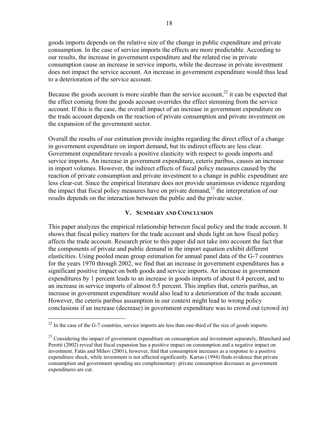goods imports depends on the relative size of the change in public expenditure and private consumption. In the case of service imports the effects are more predictable. According to our results, the increase in government expenditure and the related rise in private consumption cause an increase in service imports, while the decrease in private investment does not impact the service account. An increase in government expenditure would thus lead to a deterioration of the service account.

Because the goods account is more sizable than the service account,<sup>22</sup> it can be expected that the effect coming from the goods account overrides the effect stemming from the service account. If this is the case, the overall impact of an increase in government expenditure on the trade account depends on the reaction of private consumption and private investment on the expansion of the government sector.

Overall the results of our estimation provide insights regarding the direct effect of a change in government expenditure on import demand, but its indirect effects are less clear. Government expenditure reveals a positive elasticity with respect to goods imports and service imports. An increase in government expenditure, ceteris paribus, causes an increase in import volumes. However, the indirect effects of fiscal policy measures caused by the reaction of private consumption and private investment to a change in public expenditure are less clear-cut. Since the empirical literature does not provide unanimous evidence regarding the impact that fiscal policy measures have on private demand,<sup>23</sup> the interpretation of our results depends on the interaction between the public and the private sector.

## **V. SUMMARY AND CONCLUSION**

This paper analyzes the empirical relationship between fiscal policy and the trade account. It shows that fiscal policy matters for the trade account and sheds light on how fiscal policy affects the trade account. Research prior to this paper did not take into account the fact that the components of private and public demand in the import equation exhibit different elasticities. Using pooled mean group estimation for annual panel data of the G-7 countries for the years 1970 through 2002, we find that an increase in government expenditures has a significant positive impact on both goods and service imports. An increase in government expenditures by 1 percent leads to an increase in goods imports of about 0.4 percent, and to an increase in service imports of almost 0.5 percent. This implies that, ceteris paribus, an increase in government expenditure would also lead to a deterioration of the trade account. However, the ceteris paribus assumption in our context might lead to wrong policy conclusions if an increase (decrease) in government expenditure was to crowd out (crowd in)

 $22$  In the case of the G-7 countries, service imports are less than one-third of the size of goods imports.

<sup>&</sup>lt;sup>23</sup> Considering the impact of government expenditure on consumption and investment separately, Blanchard and Perotti (2002) reveal that fiscal expansion has a positive impact on consumption and a negative impact on investment. Fatás and Mihov (2001), however, find that consumption increases as a response to a positive expenditure shock, while investment is not affected significantly. Karras (1994) finds evidence that private consumption and government spending are complementary: private consumption decreases as government expenditures are cut.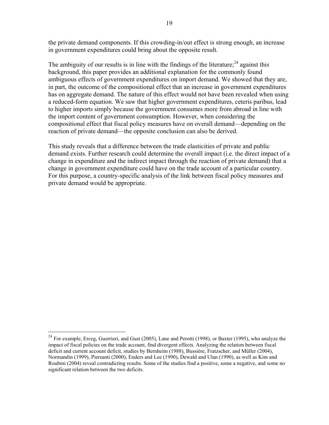the private demand components. If this crowding-in/out effect is strong enough, an increase in government expenditures could bring about the opposite result.

The ambiguity of our results is in line with the findings of the literature;<sup>24</sup> against this background, this paper provides an additional explanation for the commonly found ambiguous effects of government expenditures on import demand. We showed that they are, in part, the outcome of the compositional effect that an increase in government expenditures has on aggregate demand. The nature of this effect would not have been revealed when using a reduced-form equation. We saw that higher government expenditures, ceteris paribus, lead to higher imports simply because the government consumes more from abroad in line with the import content of government consumption. However, when considering the compositional effect that fiscal policy measures have on overall demand—depending on the reaction of private demand—the opposite conclusion can also be derived.

This study reveals that a difference between the trade elasticities of private and public demand exists. Further research could determine the overall impact (i.e. the direct impact of a change in expenditure and the indirect impact through the reaction of private demand) that a change in government expenditure could have on the trade account of a particular country. For this purpose, a country-specific analysis of the link between fiscal policy measures and private demand would be appropriate.

<sup>&</sup>lt;sup>24</sup> For example, Erceg, Guerrieri, and Gust (2005), Lane and Perotti (1998), or Baxter (1995), who analyze the impact of fiscal policies on the trade account, find divergent effects. Analyzing the relation between fiscal deficit and current account deficit, studies by Bernheim (1988), Bussière, Fratzscher, and Müller (2004), Normandin (1999), Piersanti (2000), Enders and Lee (1990), Dewald and Ulan (1990), as well as Kim and Roubini (2004) reveal contradicting results. Some of the studies find a positive, some a negative, and some no significant relation between the two deficits.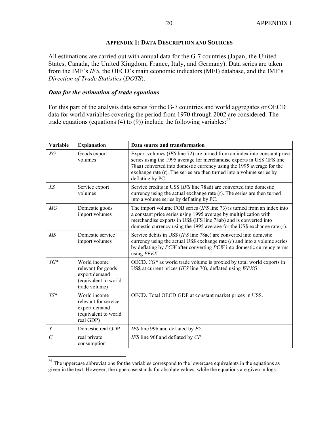## **APPENDIX 1: DATA DESCRIPTION AND SOURCES**

All estimations are carried out with annual data for the G-7 countries (Japan, the United States, Canada, the United Kingdom, France, Italy, and Germany). Data series are taken from the IMF's *IFS*, the OECD's main economic indicators (MEI) database, and the IMF's *Direction of Trade Statistics* (*DOTS*).

## *Data for the estimation of trade equations*

 $\overline{a}$ 

For this part of the analysis data series for the G-7 countries and world aggregates or OECD data for world variables covering the period from 1970 through 2002 are considered. The trade equations (equations (4) to (9)) include the following variables:  $^{25}$ 

| <b>Variable</b>       | <b>Explanation</b>                                                                           | Data source and transformation                                                                                                                                                                                                                                                                                               |
|-----------------------|----------------------------------------------------------------------------------------------|------------------------------------------------------------------------------------------------------------------------------------------------------------------------------------------------------------------------------------------------------------------------------------------------------------------------------|
| XG                    | Goods export<br>volumes                                                                      | Export volumes $(IFS$ line 72) are turned from an index into constant price<br>series using the 1995 average for merchandise exports in US\$ (IFS line<br>78aa) converted into domestic currency using the 1995 average for the<br>exchange rate (r). The series are then turned into a volume series by<br>deflating by PC. |
| XS                    | Service export<br>volumes                                                                    | Service credits in US\$ (IFS line 78ad) are converted into domestic<br>currency using the actual exchange rate (r). The series are then turned<br>into a volume series by deflating by PC.                                                                                                                                   |
| MG                    | Domestic goods<br>import volumes                                                             | The import volume FOB series ( <i>IFS</i> line 73) is turned from an index into<br>a constant price series using 1995 average by multiplication with<br>merchandise exports in US\$ (IFS line 78ab) and is converted into<br>domestic currency using the 1995 average for the US\$ exchange rate (r).                        |
| MS                    | Domestic service<br>import volumes                                                           | Service debits in US\$ (IFS line 78ae) are converted into domestic<br>currency using the actual US\$ exchange rate $(r)$ and into a volume series<br>by deflating by PCW after converting PCW into domestic currency terms<br>using EFEX.                                                                                    |
| YG*                   | World income<br>relevant for goods<br>export demand<br>(equivalent to world<br>trade volume) | OECD. $YG*$ as world trade volume is proxied by total world exports in<br>US\$ at current prices (IFS line 70), deflated using WPXG.                                                                                                                                                                                         |
| $YS*$                 | World income<br>relevant for service<br>export demand<br>(equivalent to world<br>real GDP)   | OECD. Total OECD GDP at constant market prices in US\$.                                                                                                                                                                                                                                                                      |
| Y                     | Domestic real GDP                                                                            | IFS line 99b and deflated by PY.                                                                                                                                                                                                                                                                                             |
| $\mathcal{C}_{0}^{0}$ | real private<br>consumption                                                                  | IFS line 96f and deflated by CP                                                                                                                                                                                                                                                                                              |

 $25$  The uppercase abbreviations for the variables correspond to the lowercase equivalents in the equations as given in the text. However, the uppercase stands for absolute values, while the equations are given in logs.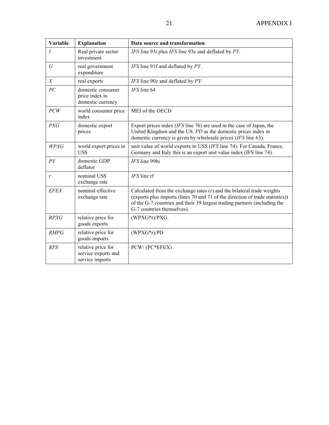| Variable         | <b>Explanation</b>                                           | Data source and transformation                                                                                                                                                                                                                                       |
|------------------|--------------------------------------------------------------|----------------------------------------------------------------------------------------------------------------------------------------------------------------------------------------------------------------------------------------------------------------------|
| $\overline{I}$   | Real private sector<br>investment                            | IFS line 93i plus IFS line 93e and deflated by PY.                                                                                                                                                                                                                   |
| $\boldsymbol{G}$ | real government<br>expenditure                               | IFS line 91f and deflated by PY.                                                                                                                                                                                                                                     |
| X                | real exports                                                 | IFS line 90c and deflated by PY.                                                                                                                                                                                                                                     |
| PC               | domestic consumer<br>price index in<br>domestic currency     | IFS line 64                                                                                                                                                                                                                                                          |
| PCW              | world consumer price<br>index                                | MEI of the OECD                                                                                                                                                                                                                                                      |
| <b>PXG</b>       | domestic export<br>prices                                    | Export prices index $(IFS$ line 76) are used in the case of Japan, the<br>United Kingdom and the US. PD as the domestic prices index in<br>domestic currency is given by wholesale prices (IFS line 63).                                                             |
| WPXG             | world export prices in<br>US\$                               | unit value of world exports in US\$ (IFS line 74). For Canada, France,<br>Germany and Italy this is an export unit value index (IFS line 74).                                                                                                                        |
| PY               | domestic GDP<br>deflator                                     | IFS line 99bi                                                                                                                                                                                                                                                        |
| r                | nominal US\$<br>exchange rate                                | IFS line rf                                                                                                                                                                                                                                                          |
| <b>EFEX</b>      | nominal effective<br>exchange rate                           | Calculated from the exchange rates $(r)$ and the bilateral trade weights<br>(exports plus imports (lines 70 and 71 of the direction of trade statistics))<br>of the G-7 countries and their 39 largest trading partners (including the<br>G-7 countries themselves). |
| <b>RPXG</b>      | relative price for<br>goods exports                          | $(WPXG*r)/PXG.$                                                                                                                                                                                                                                                      |
| <b>RMPG</b>      | relative price for<br>goods imports                          | $(WPXG*r)/PD$                                                                                                                                                                                                                                                        |
| RPS              | relative price for<br>service exports and<br>service imports | PCW/(PC*EFEX)                                                                                                                                                                                                                                                        |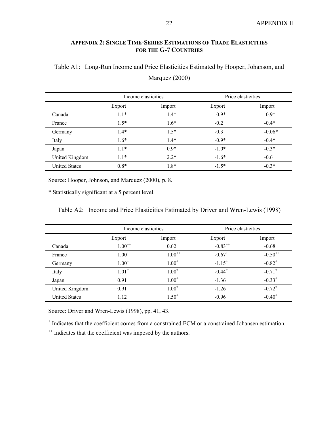## **APPENDIX 2: SINGLE TIME-SERIES ESTIMATIONS OF TRADE ELASTICITIES FOR THE G-7 COUNTRIES**

|                      | Income elasticities |        | Price elasticities |          |
|----------------------|---------------------|--------|--------------------|----------|
|                      | Export              | Import | Export             | Import   |
| Canada               | $1.1*$              | $1.4*$ | $-0.9*$            | $-0.9*$  |
| France               | $1.5*$              | $1.6*$ | $-0.2$             | $-0.4*$  |
| Germany              | $1.4*$              | $1.5*$ | $-0.3$             | $-0.06*$ |
| Italy                | $1.6*$              | $1.4*$ | $-0.9*$            | $-0.4*$  |
| Japan                | $1.1*$              | $0.9*$ | $-1.0*$            | $-0.3*$  |
| United Kingdom       | $1.1*$              | $2.2*$ | $-1.6*$            | $-0.6$   |
| <b>United States</b> | $0.8*$              | $1.8*$ | $-1.5*$            | $-0.3*$  |

Marquez (2000)

Table A1: Long-Run Income and Price Elasticities Estimated by Hooper, Johanson, and

Source: Hooper, Johnson, and Marquez (2000), p. 8.

\* Statistically significant at a 5 percent level.

Table A2: Income and Price Elasticities Estimated by Driver and Wren-Lewis (1998)

|                      | Income elasticities |             | Price elasticities   |                      |
|----------------------|---------------------|-------------|----------------------|----------------------|
|                      | Export              | Import      | Export               | Import               |
| Canada               | $1.00^{++}$         | 0.62        | $-0.83^{++}$         | $-0.68$              |
| France               | $1.00^{+}$          | $1.00^{++}$ | $-0.67$ <sup>+</sup> | $-0.50^{++}$         |
| Germany              | $1.00^{+}$          | $1.00^{+}$  | $-1.15^{+}$          | $-0.82$ <sup>+</sup> |
| Italy                | $1.01^{+}$          | $1.00^{+}$  | $-0.44$ <sup>+</sup> | $-0.71$ <sup>+</sup> |
| Japan                | 0.91                | $1.00^{+}$  | $-1.36$              | $-0.33^{+}$          |
| United Kingdom       | 0.91                | $1.00^{+}$  | $-1.26$              | $-0.72^{+}$          |
| <b>United States</b> | 1.12                | $1.50^{+}$  | $-0.96$              | $-0.40^{+}$          |

Source: Driver and Wren-Lewis (1998), pp. 41, 43.

+ Indicates that the coefficient comes from a constrained ECM or a constrained Johansen estimation.

<sup>++</sup> Indicates that the coefficient was imposed by the authors.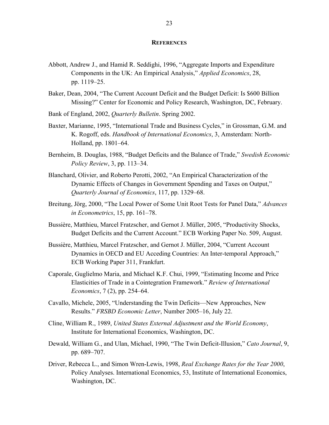#### **REFERENCES**

- Abbott, Andrew J., and Hamid R. Seddighi, 1996, "Aggregate Imports and Expenditure Components in the UK: An Empirical Analysis," *Applied Economics*, 28, pp. 1119–25.
- Baker, Dean, 2004, "The Current Account Deficit and the Budget Deficit: Is \$600 Billion Missing?" Center for Economic and Policy Research, Washington, DC, February.

Bank of England, 2002, *Quarterly Bulletin*. Spring 2002.

- Baxter, Marianne, 1995, "International Trade and Business Cycles," in Grossman, G.M. and K. Rogoff, eds. *Handbook of International Economics*, 3, Amsterdam: North-Holland, pp. 1801–64.
- Bernheim, B. Douglas, 1988, "Budget Deficits and the Balance of Trade," *Swedish Economic Policy Review*, 3, pp. 113–34.
- Blanchard, Olivier, and Roberto Perotti, 2002, "An Empirical Characterization of the Dynamic Effects of Changes in Government Spending and Taxes on Output," *Quarterly Journal of Economics*, 117, pp. 1329–68.
- Breitung, Jörg, 2000, "The Local Power of Some Unit Root Tests for Panel Data," *Advances in Econometrics*, 15, pp. 161–78.
- Bussière, Matthieu, Marcel Fratzscher, and Gernot J. Müller, 2005, "Productivity Shocks, Budget Deficits and the Current Account." ECB Working Paper No. 509, August.
- Bussière, Matthieu, Marcel Fratzscher, and Gernot J. Müller, 2004, "Current Account Dynamics in OECD and EU Acceding Countries: An Inter-temporal Approach," ECB Working Paper 311, Frankfurt.
- Caporale, Guglielmo Maria, and Michael K.F. Chui, 1999, "Estimating Income and Price Elasticities of Trade in a Cointegration Framework." *Review of International Economics*, 7 (2), pp. 254–64.
- Cavallo, Michele, 2005, "Understanding the Twin Deficits—New Approaches, New Results." *FRSBD Economic Letter*, Number 2005–16, July 22.
- Cline, William R., 1989, *United States External Adjustment and the World Economy*, Institute for International Economics, Washington, DC.
- Dewald, William G., and Ulan, Michael, 1990, "The Twin Deficit-Illusion," *Cato Journal*, 9, pp. 689–707.
- Driver, Rebecca L., and Simon Wren-Lewis, 1998, *Real Exchange Rates for the Year 2000*, Policy Analyses. International Economics, 53, Institute of International Economics, Washington, DC.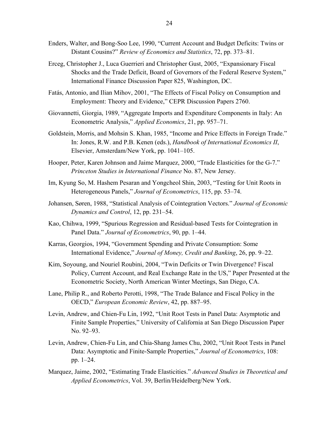- Enders, Walter, and Bong-Soo Lee, 1990, "Current Account and Budget Deficits: Twins or Distant Cousins?" *Review of Economics and Statistics*, 72, pp. 373–81.
- Erceg, Christopher J., Luca Guerrieri and Christopher Gust, 2005, "Expansionary Fiscal Shocks and the Trade Deficit, Board of Governors of the Federal Reserve System," International Finance Discussion Paper 825, Washington, DC.
- Fatás, Antonio, and Ilian Mihov, 2001, "The Effects of Fiscal Policy on Consumption and Employment: Theory and Evidence," CEPR Discussion Papers 2760.
- Giovannetti, Giorgia, 1989, "Aggregate Imports and Expenditure Components in Italy: An Econometric Analysis," *Applied Economics*, 21, pp. 957–71.
- Goldstein, Morris, and Mohsin S. Khan, 1985, "Income and Price Effects in Foreign Trade." In: Jones, R.W. and P.B. Kenen (eds.), *Handbook of International Economics II*, Elsevier, Amsterdam/New York, pp. 1041–105.
- Hooper, Peter, Karen Johnson and Jaime Marquez, 2000, "Trade Elasticities for the G-7." *Princeton Studies in International Finance* No. 87, New Jersey.
- Im, Kyung So, M. Hashem Pesaran and Yongcheol Shin, 2003, "Testing for Unit Roots in Heterogeneous Panels," *Journal of Econometrics*, 115, pp. 53–74.
- Johansen, Søren, 1988, "Statistical Analysis of Cointegration Vectors." *Journal of Economic Dynamics and Control*, 12, pp. 231–54.
- Kao, Chihwa, 1999, "Spurious Regression and Residual-based Tests for Cointegration in Panel Data." *Journal of Econometrics*, 90, pp. 1–44.
- Karras, Georgios, 1994, "Government Spending and Private Consumption: Some International Evidence," *Journal of Money, Credit and Banking*, 26, pp. 9–22.
- Kim, Soyoung, and Nouriel Roubini, 2004, "Twin Deficits or Twin Divergence? Fiscal Policy, Current Account, and Real Exchange Rate in the US," Paper Presented at the Econometric Society, North American Winter Meetings, San Diego, CA.
- Lane, Philip R., and Roberto Perotti, 1998, "The Trade Balance and Fiscal Policy in the OECD," *European Economic Review*, 42, pp. 887–95.
- Levin, Andrew, and Chien-Fu Lin, 1992, "Unit Root Tests in Panel Data: Asymptotic and Finite Sample Properties," University of California at San Diego Discussion Paper No. 92–93.
- Levin, Andrew, Chien-Fu Lin, and Chia-Shang James Chu, 2002, "Unit Root Tests in Panel Data: Asymptotic and Finite-Sample Properties," *Journal of Econometrics*, 108: pp. 1–24.
- Marquez, Jaime, 2002, "Estimating Trade Elasticities." *Advanced Studies in Theoretical and Applied Econometrics*, Vol. 39, Berlin/Heidelberg/New York.